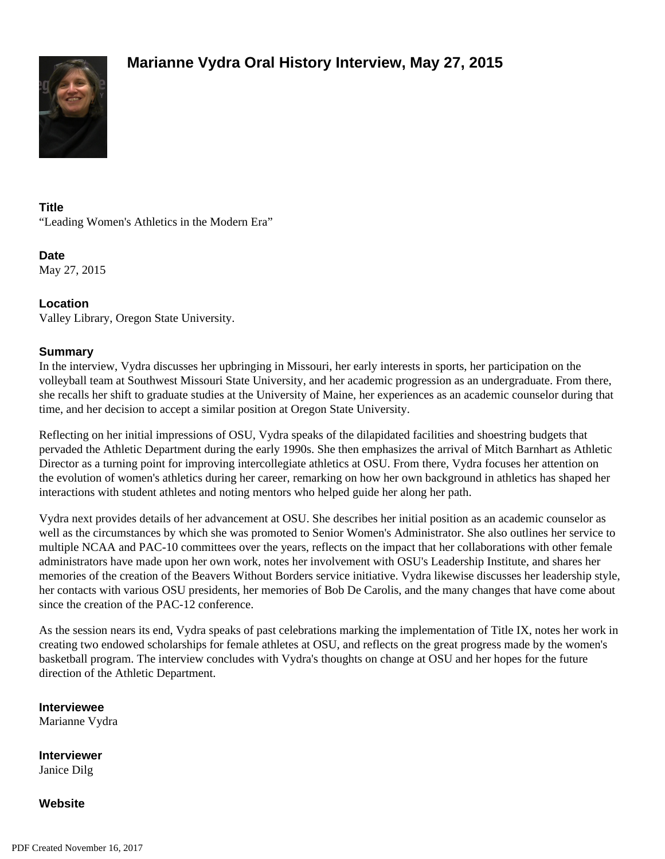

## **Title**

"Leading Women's Athletics in the Modern Era"

**Date** May 27, 2015

## **Location**

Valley Library, Oregon State University.

## **Summary**

In the interview, Vydra discusses her upbringing in Missouri, her early interests in sports, her participation on the volleyball team at Southwest Missouri State University, and her academic progression as an undergraduate. From there, she recalls her shift to graduate studies at the University of Maine, her experiences as an academic counselor during that time, and her decision to accept a similar position at Oregon State University.

Reflecting on her initial impressions of OSU, Vydra speaks of the dilapidated facilities and shoestring budgets that pervaded the Athletic Department during the early 1990s. She then emphasizes the arrival of Mitch Barnhart as Athletic Director as a turning point for improving intercollegiate athletics at OSU. From there, Vydra focuses her attention on the evolution of women's athletics during her career, remarking on how her own background in athletics has shaped her interactions with student athletes and noting mentors who helped guide her along her path.

Vydra next provides details of her advancement at OSU. She describes her initial position as an academic counselor as well as the circumstances by which she was promoted to Senior Women's Administrator. She also outlines her service to multiple NCAA and PAC-10 committees over the years, reflects on the impact that her collaborations with other female administrators have made upon her own work, notes her involvement with OSU's Leadership Institute, and shares her memories of the creation of the Beavers Without Borders service initiative. Vydra likewise discusses her leadership style, her contacts with various OSU presidents, her memories of Bob De Carolis, and the many changes that have come about since the creation of the PAC-12 conference.

As the session nears its end, Vydra speaks of past celebrations marking the implementation of Title IX, notes her work in creating two endowed scholarships for female athletes at OSU, and reflects on the great progress made by the women's basketball program. The interview concludes with Vydra's thoughts on change at OSU and her hopes for the future direction of the Athletic Department.

**Interviewee** Marianne Vydra

**Interviewer** Janice Dilg

**Website**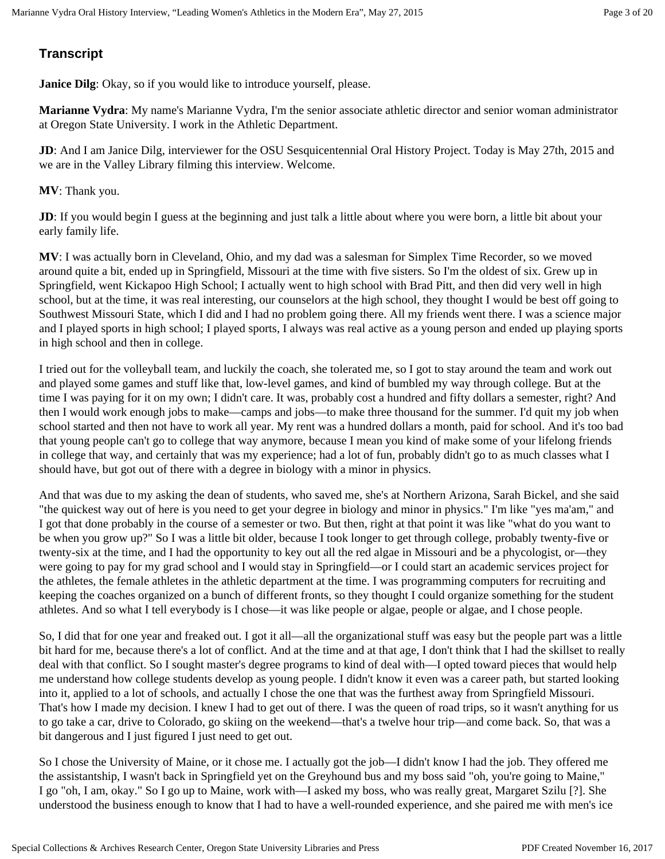# **Transcript**

**Janice Dilg**: Okay, so if you would like to introduce yourself, please.

**Marianne Vydra**: My name's Marianne Vydra, I'm the senior associate athletic director and senior woman administrator at Oregon State University. I work in the Athletic Department.

**JD**: And I am Janice Dilg, interviewer for the OSU Sesquicentennial Oral History Project. Today is May 27th, 2015 and we are in the Valley Library filming this interview. Welcome.

**MV**: Thank you.

**JD**: If you would begin I guess at the beginning and just talk a little about where you were born, a little bit about your early family life.

**MV**: I was actually born in Cleveland, Ohio, and my dad was a salesman for Simplex Time Recorder, so we moved around quite a bit, ended up in Springfield, Missouri at the time with five sisters. So I'm the oldest of six. Grew up in Springfield, went Kickapoo High School; I actually went to high school with Brad Pitt, and then did very well in high school, but at the time, it was real interesting, our counselors at the high school, they thought I would be best off going to Southwest Missouri State, which I did and I had no problem going there. All my friends went there. I was a science major and I played sports in high school; I played sports, I always was real active as a young person and ended up playing sports in high school and then in college.

I tried out for the volleyball team, and luckily the coach, she tolerated me, so I got to stay around the team and work out and played some games and stuff like that, low-level games, and kind of bumbled my way through college. But at the time I was paying for it on my own; I didn't care. It was, probably cost a hundred and fifty dollars a semester, right? And then I would work enough jobs to make—camps and jobs—to make three thousand for the summer. I'd quit my job when school started and then not have to work all year. My rent was a hundred dollars a month, paid for school. And it's too bad that young people can't go to college that way anymore, because I mean you kind of make some of your lifelong friends in college that way, and certainly that was my experience; had a lot of fun, probably didn't go to as much classes what I should have, but got out of there with a degree in biology with a minor in physics.

And that was due to my asking the dean of students, who saved me, she's at Northern Arizona, Sarah Bickel, and she said "the quickest way out of here is you need to get your degree in biology and minor in physics." I'm like "yes ma'am," and I got that done probably in the course of a semester or two. But then, right at that point it was like "what do you want to be when you grow up?" So I was a little bit older, because I took longer to get through college, probably twenty-five or twenty-six at the time, and I had the opportunity to key out all the red algae in Missouri and be a phycologist, or—they were going to pay for my grad school and I would stay in Springfield—or I could start an academic services project for the athletes, the female athletes in the athletic department at the time. I was programming computers for recruiting and keeping the coaches organized on a bunch of different fronts, so they thought I could organize something for the student athletes. And so what I tell everybody is I chose—it was like people or algae, people or algae, and I chose people.

So, I did that for one year and freaked out. I got it all—all the organizational stuff was easy but the people part was a little bit hard for me, because there's a lot of conflict. And at the time and at that age, I don't think that I had the skillset to really deal with that conflict. So I sought master's degree programs to kind of deal with—I opted toward pieces that would help me understand how college students develop as young people. I didn't know it even was a career path, but started looking into it, applied to a lot of schools, and actually I chose the one that was the furthest away from Springfield Missouri. That's how I made my decision. I knew I had to get out of there. I was the queen of road trips, so it wasn't anything for us to go take a car, drive to Colorado, go skiing on the weekend—that's a twelve hour trip—and come back. So, that was a bit dangerous and I just figured I just need to get out.

So I chose the University of Maine, or it chose me. I actually got the job—I didn't know I had the job. They offered me the assistantship, I wasn't back in Springfield yet on the Greyhound bus and my boss said "oh, you're going to Maine," I go "oh, I am, okay." So I go up to Maine, work with—I asked my boss, who was really great, Margaret Szilu [?]. She understood the business enough to know that I had to have a well-rounded experience, and she paired me with men's ice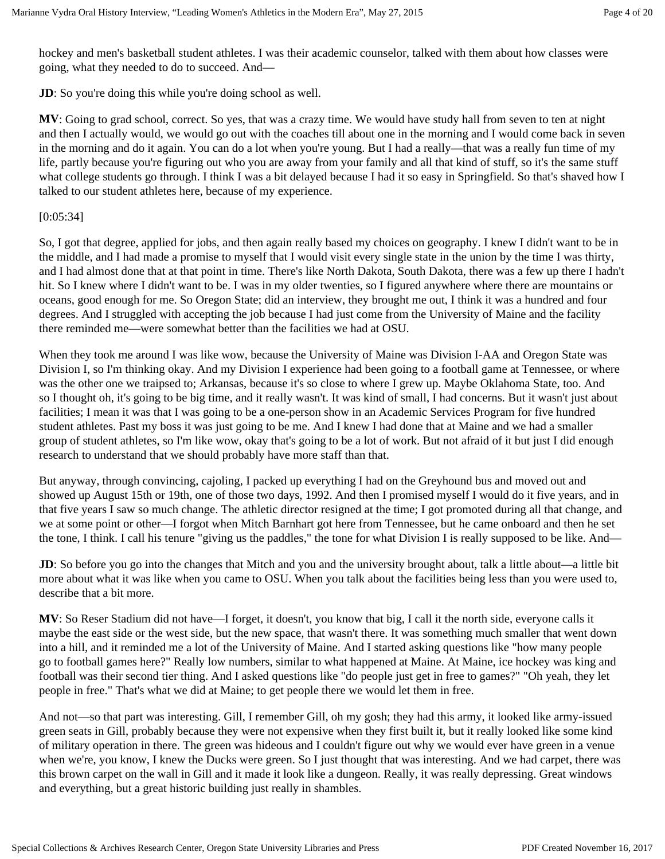hockey and men's basketball student athletes. I was their academic counselor, talked with them about how classes were going, what they needed to do to succeed. And—

**JD**: So you're doing this while you're doing school as well.

**MV**: Going to grad school, correct. So yes, that was a crazy time. We would have study hall from seven to ten at night and then I actually would, we would go out with the coaches till about one in the morning and I would come back in seven in the morning and do it again. You can do a lot when you're young. But I had a really—that was a really fun time of my life, partly because you're figuring out who you are away from your family and all that kind of stuff, so it's the same stuff what college students go through. I think I was a bit delayed because I had it so easy in Springfield. So that's shaved how I talked to our student athletes here, because of my experience.

## [0:05:34]

So, I got that degree, applied for jobs, and then again really based my choices on geography. I knew I didn't want to be in the middle, and I had made a promise to myself that I would visit every single state in the union by the time I was thirty, and I had almost done that at that point in time. There's like North Dakota, South Dakota, there was a few up there I hadn't hit. So I knew where I didn't want to be. I was in my older twenties, so I figured anywhere where there are mountains or oceans, good enough for me. So Oregon State; did an interview, they brought me out, I think it was a hundred and four degrees. And I struggled with accepting the job because I had just come from the University of Maine and the facility there reminded me—were somewhat better than the facilities we had at OSU.

When they took me around I was like wow, because the University of Maine was Division I-AA and Oregon State was Division I, so I'm thinking okay. And my Division I experience had been going to a football game at Tennessee, or where was the other one we traipsed to; Arkansas, because it's so close to where I grew up. Maybe Oklahoma State, too. And so I thought oh, it's going to be big time, and it really wasn't. It was kind of small, I had concerns. But it wasn't just about facilities; I mean it was that I was going to be a one-person show in an Academic Services Program for five hundred student athletes. Past my boss it was just going to be me. And I knew I had done that at Maine and we had a smaller group of student athletes, so I'm like wow, okay that's going to be a lot of work. But not afraid of it but just I did enough research to understand that we should probably have more staff than that.

But anyway, through convincing, cajoling, I packed up everything I had on the Greyhound bus and moved out and showed up August 15th or 19th, one of those two days, 1992. And then I promised myself I would do it five years, and in that five years I saw so much change. The athletic director resigned at the time; I got promoted during all that change, and we at some point or other—I forgot when Mitch Barnhart got here from Tennessee, but he came onboard and then he set the tone, I think. I call his tenure "giving us the paddles," the tone for what Division I is really supposed to be like. And—

**JD**: So before you go into the changes that Mitch and you and the university brought about, talk a little about—a little bit more about what it was like when you came to OSU. When you talk about the facilities being less than you were used to, describe that a bit more.

**MV**: So Reser Stadium did not have—I forget, it doesn't, you know that big, I call it the north side, everyone calls it maybe the east side or the west side, but the new space, that wasn't there. It was something much smaller that went down into a hill, and it reminded me a lot of the University of Maine. And I started asking questions like "how many people go to football games here?" Really low numbers, similar to what happened at Maine. At Maine, ice hockey was king and football was their second tier thing. And I asked questions like "do people just get in free to games?" "Oh yeah, they let people in free." That's what we did at Maine; to get people there we would let them in free.

And not—so that part was interesting. Gill, I remember Gill, oh my gosh; they had this army, it looked like army-issued green seats in Gill, probably because they were not expensive when they first built it, but it really looked like some kind of military operation in there. The green was hideous and I couldn't figure out why we would ever have green in a venue when we're, you know, I knew the Ducks were green. So I just thought that was interesting. And we had carpet, there was this brown carpet on the wall in Gill and it made it look like a dungeon. Really, it was really depressing. Great windows and everything, but a great historic building just really in shambles.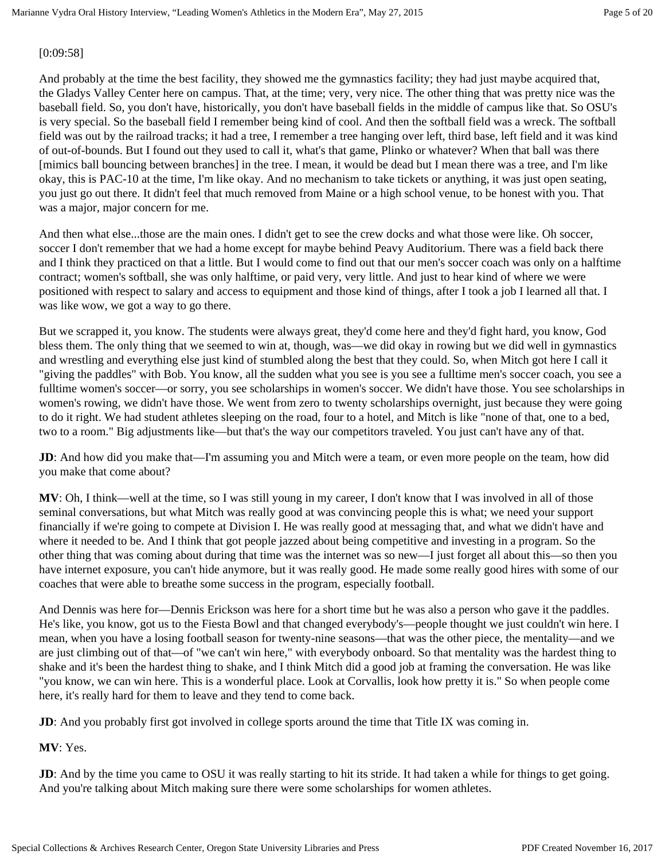## [0:09:58]

And probably at the time the best facility, they showed me the gymnastics facility; they had just maybe acquired that, the Gladys Valley Center here on campus. That, at the time; very, very nice. The other thing that was pretty nice was the baseball field. So, you don't have, historically, you don't have baseball fields in the middle of campus like that. So OSU's is very special. So the baseball field I remember being kind of cool. And then the softball field was a wreck. The softball field was out by the railroad tracks; it had a tree, I remember a tree hanging over left, third base, left field and it was kind of out-of-bounds. But I found out they used to call it, what's that game, Plinko or whatever? When that ball was there [mimics ball bouncing between branches] in the tree. I mean, it would be dead but I mean there was a tree, and I'm like okay, this is PAC-10 at the time, I'm like okay. And no mechanism to take tickets or anything, it was just open seating, you just go out there. It didn't feel that much removed from Maine or a high school venue, to be honest with you. That was a major, major concern for me.

And then what else...those are the main ones. I didn't get to see the crew docks and what those were like. Oh soccer, soccer I don't remember that we had a home except for maybe behind Peavy Auditorium. There was a field back there and I think they practiced on that a little. But I would come to find out that our men's soccer coach was only on a halftime contract; women's softball, she was only halftime, or paid very, very little. And just to hear kind of where we were positioned with respect to salary and access to equipment and those kind of things, after I took a job I learned all that. I was like wow, we got a way to go there.

But we scrapped it, you know. The students were always great, they'd come here and they'd fight hard, you know, God bless them. The only thing that we seemed to win at, though, was—we did okay in rowing but we did well in gymnastics and wrestling and everything else just kind of stumbled along the best that they could. So, when Mitch got here I call it "giving the paddles" with Bob. You know, all the sudden what you see is you see a fulltime men's soccer coach, you see a fulltime women's soccer—or sorry, you see scholarships in women's soccer. We didn't have those. You see scholarships in women's rowing, we didn't have those. We went from zero to twenty scholarships overnight, just because they were going to do it right. We had student athletes sleeping on the road, four to a hotel, and Mitch is like "none of that, one to a bed, two to a room." Big adjustments like—but that's the way our competitors traveled. You just can't have any of that.

**JD**: And how did you make that—I'm assuming you and Mitch were a team, or even more people on the team, how did you make that come about?

**MV**: Oh, I think—well at the time, so I was still young in my career, I don't know that I was involved in all of those seminal conversations, but what Mitch was really good at was convincing people this is what; we need your support financially if we're going to compete at Division I. He was really good at messaging that, and what we didn't have and where it needed to be. And I think that got people jazzed about being competitive and investing in a program. So the other thing that was coming about during that time was the internet was so new—I just forget all about this—so then you have internet exposure, you can't hide anymore, but it was really good. He made some really good hires with some of our coaches that were able to breathe some success in the program, especially football.

And Dennis was here for—Dennis Erickson was here for a short time but he was also a person who gave it the paddles. He's like, you know, got us to the Fiesta Bowl and that changed everybody's—people thought we just couldn't win here. I mean, when you have a losing football season for twenty-nine seasons—that was the other piece, the mentality—and we are just climbing out of that—of "we can't win here," with everybody onboard. So that mentality was the hardest thing to shake and it's been the hardest thing to shake, and I think Mitch did a good job at framing the conversation. He was like "you know, we can win here. This is a wonderful place. Look at Corvallis, look how pretty it is." So when people come here, it's really hard for them to leave and they tend to come back.

**JD**: And you probably first got involved in college sports around the time that Title IX was coming in.

**MV**: Yes.

**JD**: And by the time you came to OSU it was really starting to hit its stride. It had taken a while for things to get going. And you're talking about Mitch making sure there were some scholarships for women athletes.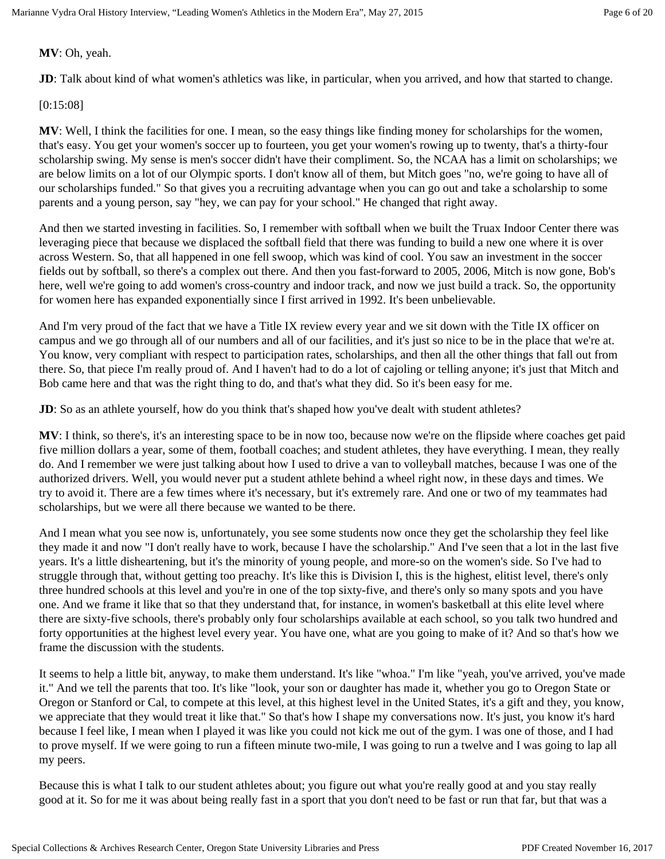**MV**: Oh, yeah.

**JD**: Talk about kind of what women's athletics was like, in particular, when you arrived, and how that started to change.

## [0:15:08]

**MV**: Well, I think the facilities for one. I mean, so the easy things like finding money for scholarships for the women, that's easy. You get your women's soccer up to fourteen, you get your women's rowing up to twenty, that's a thirty-four scholarship swing. My sense is men's soccer didn't have their compliment. So, the NCAA has a limit on scholarships; we are below limits on a lot of our Olympic sports. I don't know all of them, but Mitch goes "no, we're going to have all of our scholarships funded." So that gives you a recruiting advantage when you can go out and take a scholarship to some parents and a young person, say "hey, we can pay for your school." He changed that right away.

And then we started investing in facilities. So, I remember with softball when we built the Truax Indoor Center there was leveraging piece that because we displaced the softball field that there was funding to build a new one where it is over across Western. So, that all happened in one fell swoop, which was kind of cool. You saw an investment in the soccer fields out by softball, so there's a complex out there. And then you fast-forward to 2005, 2006, Mitch is now gone, Bob's here, well we're going to add women's cross-country and indoor track, and now we just build a track. So, the opportunity for women here has expanded exponentially since I first arrived in 1992. It's been unbelievable.

And I'm very proud of the fact that we have a Title IX review every year and we sit down with the Title IX officer on campus and we go through all of our numbers and all of our facilities, and it's just so nice to be in the place that we're at. You know, very compliant with respect to participation rates, scholarships, and then all the other things that fall out from there. So, that piece I'm really proud of. And I haven't had to do a lot of cajoling or telling anyone; it's just that Mitch and Bob came here and that was the right thing to do, and that's what they did. So it's been easy for me.

**JD**: So as an athlete yourself, how do you think that's shaped how you've dealt with student athletes?

**MV**: I think, so there's, it's an interesting space to be in now too, because now we're on the flipside where coaches get paid five million dollars a year, some of them, football coaches; and student athletes, they have everything. I mean, they really do. And I remember we were just talking about how I used to drive a van to volleyball matches, because I was one of the authorized drivers. Well, you would never put a student athlete behind a wheel right now, in these days and times. We try to avoid it. There are a few times where it's necessary, but it's extremely rare. And one or two of my teammates had scholarships, but we were all there because we wanted to be there.

And I mean what you see now is, unfortunately, you see some students now once they get the scholarship they feel like they made it and now "I don't really have to work, because I have the scholarship." And I've seen that a lot in the last five years. It's a little disheartening, but it's the minority of young people, and more-so on the women's side. So I've had to struggle through that, without getting too preachy. It's like this is Division I, this is the highest, elitist level, there's only three hundred schools at this level and you're in one of the top sixty-five, and there's only so many spots and you have one. And we frame it like that so that they understand that, for instance, in women's basketball at this elite level where there are sixty-five schools, there's probably only four scholarships available at each school, so you talk two hundred and forty opportunities at the highest level every year. You have one, what are you going to make of it? And so that's how we frame the discussion with the students.

It seems to help a little bit, anyway, to make them understand. It's like "whoa." I'm like "yeah, you've arrived, you've made it." And we tell the parents that too. It's like "look, your son or daughter has made it, whether you go to Oregon State or Oregon or Stanford or Cal, to compete at this level, at this highest level in the United States, it's a gift and they, you know, we appreciate that they would treat it like that." So that's how I shape my conversations now. It's just, you know it's hard because I feel like, I mean when I played it was like you could not kick me out of the gym. I was one of those, and I had to prove myself. If we were going to run a fifteen minute two-mile, I was going to run a twelve and I was going to lap all my peers.

Because this is what I talk to our student athletes about; you figure out what you're really good at and you stay really good at it. So for me it was about being really fast in a sport that you don't need to be fast or run that far, but that was a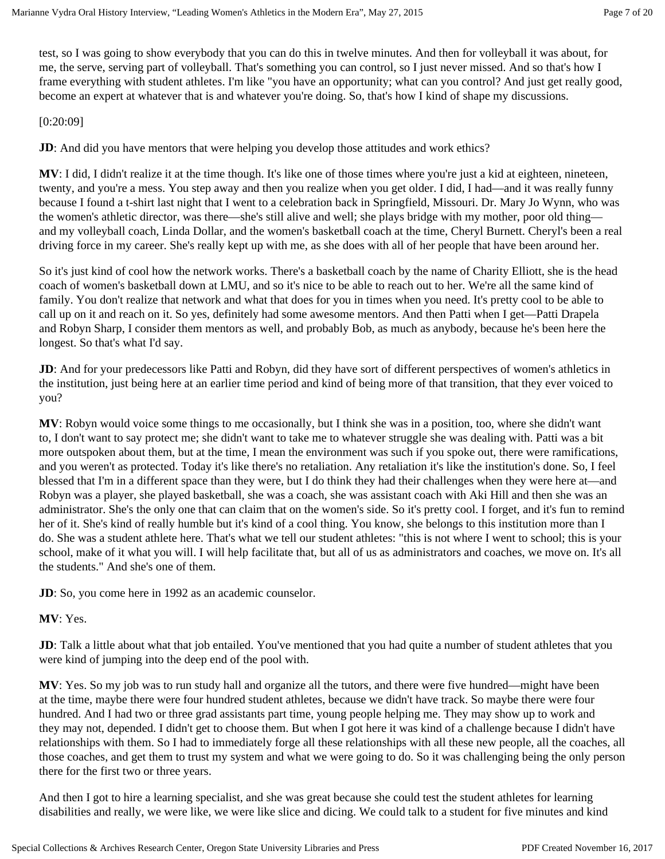test, so I was going to show everybody that you can do this in twelve minutes. And then for volleyball it was about, for me, the serve, serving part of volleyball. That's something you can control, so I just never missed. And so that's how I frame everything with student athletes. I'm like "you have an opportunity; what can you control? And just get really good, become an expert at whatever that is and whatever you're doing. So, that's how I kind of shape my discussions.

## [0:20:09]

**JD**: And did you have mentors that were helping you develop those attitudes and work ethics?

**MV**: I did, I didn't realize it at the time though. It's like one of those times where you're just a kid at eighteen, nineteen, twenty, and you're a mess. You step away and then you realize when you get older. I did, I had—and it was really funny because I found a t-shirt last night that I went to a celebration back in Springfield, Missouri. Dr. Mary Jo Wynn, who was the women's athletic director, was there—she's still alive and well; she plays bridge with my mother, poor old thing and my volleyball coach, Linda Dollar, and the women's basketball coach at the time, Cheryl Burnett. Cheryl's been a real driving force in my career. She's really kept up with me, as she does with all of her people that have been around her.

So it's just kind of cool how the network works. There's a basketball coach by the name of Charity Elliott, she is the head coach of women's basketball down at LMU, and so it's nice to be able to reach out to her. We're all the same kind of family. You don't realize that network and what that does for you in times when you need. It's pretty cool to be able to call up on it and reach on it. So yes, definitely had some awesome mentors. And then Patti when I get—Patti Drapela and Robyn Sharp, I consider them mentors as well, and probably Bob, as much as anybody, because he's been here the longest. So that's what I'd say.

**JD**: And for your predecessors like Patti and Robyn, did they have sort of different perspectives of women's athletics in the institution, just being here at an earlier time period and kind of being more of that transition, that they ever voiced to you?

**MV**: Robyn would voice some things to me occasionally, but I think she was in a position, too, where she didn't want to, I don't want to say protect me; she didn't want to take me to whatever struggle she was dealing with. Patti was a bit more outspoken about them, but at the time, I mean the environment was such if you spoke out, there were ramifications, and you weren't as protected. Today it's like there's no retaliation. Any retaliation it's like the institution's done. So, I feel blessed that I'm in a different space than they were, but I do think they had their challenges when they were here at—and Robyn was a player, she played basketball, she was a coach, she was assistant coach with Aki Hill and then she was an administrator. She's the only one that can claim that on the women's side. So it's pretty cool. I forget, and it's fun to remind her of it. She's kind of really humble but it's kind of a cool thing. You know, she belongs to this institution more than I do. She was a student athlete here. That's what we tell our student athletes: "this is not where I went to school; this is your school, make of it what you will. I will help facilitate that, but all of us as administrators and coaches, we move on. It's all the students." And she's one of them.

**JD**: So, you come here in 1992 as an academic counselor.

## **MV**: Yes.

**JD**: Talk a little about what that job entailed. You've mentioned that you had quite a number of student athletes that you were kind of jumping into the deep end of the pool with.

**MV**: Yes. So my job was to run study hall and organize all the tutors, and there were five hundred—might have been at the time, maybe there were four hundred student athletes, because we didn't have track. So maybe there were four hundred. And I had two or three grad assistants part time, young people helping me. They may show up to work and they may not, depended. I didn't get to choose them. But when I got here it was kind of a challenge because I didn't have relationships with them. So I had to immediately forge all these relationships with all these new people, all the coaches, all those coaches, and get them to trust my system and what we were going to do. So it was challenging being the only person there for the first two or three years.

And then I got to hire a learning specialist, and she was great because she could test the student athletes for learning disabilities and really, we were like, we were like slice and dicing. We could talk to a student for five minutes and kind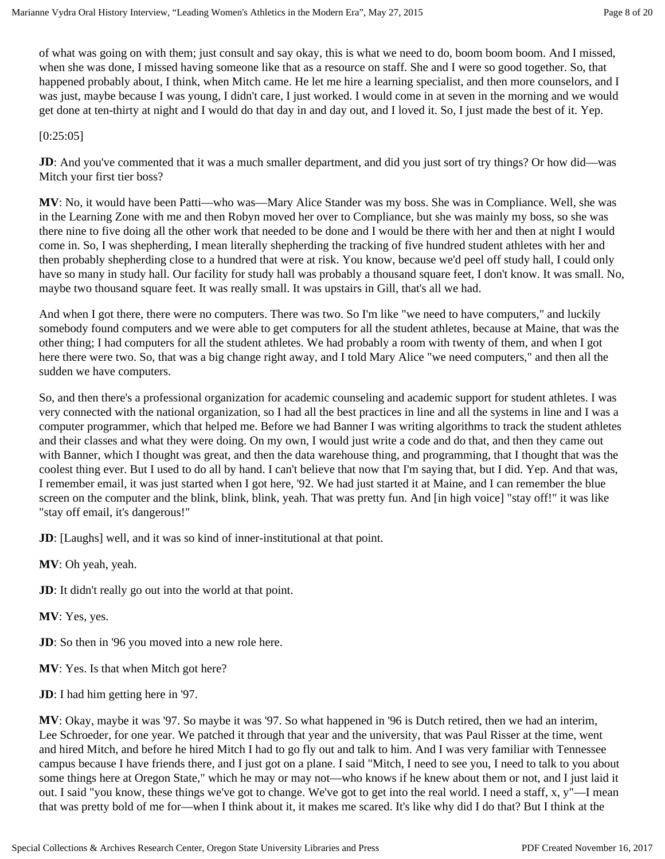of what was going on with them; just consult and say okay, this is what we need to do, boom boom boom. And I missed, when she was done, I missed having someone like that as a resource on staff. She and I were so good together. So, that happened probably about, I think, when Mitch came. He let me hire a learning specialist, and then more counselors, and I was just, maybe because I was young, I didn't care, I just worked. I would come in at seven in the morning and we would get done at ten-thirty at night and I would do that day in and day out, and I loved it. So, I just made the best of it. Yep.

[0:25:05]

**JD**: And you've commented that it was a much smaller department, and did you just sort of try things? Or how did—was Mitch your first tier boss?

**MV**: No, it would have been Patti—who was—Mary Alice Stander was my boss. She was in Compliance. Well, she was in the Learning Zone with me and then Robyn moved her over to Compliance, but she was mainly my boss, so she was there nine to five doing all the other work that needed to be done and I would be there with her and then at night I would come in. So, I was shepherding, I mean literally shepherding the tracking of five hundred student athletes with her and then probably shepherding close to a hundred that were at risk. You know, because we'd peel off study hall, I could only have so many in study hall. Our facility for study hall was probably a thousand square feet, I don't know. It was small. No, maybe two thousand square feet. It was really small. It was upstairs in Gill, that's all we had.

And when I got there, there were no computers. There was two. So I'm like "we need to have computers," and luckily somebody found computers and we were able to get computers for all the student athletes, because at Maine, that was the other thing; I had computers for all the student athletes. We had probably a room with twenty of them, and when I got here there were two. So, that was a big change right away, and I told Mary Alice "we need computers," and then all the sudden we have computers.

So, and then there's a professional organization for academic counseling and academic support for student athletes. I was very connected with the national organization, so I had all the best practices in line and all the systems in line and I was a computer programmer, which that helped me. Before we had Banner I was writing algorithms to track the student athletes and their classes and what they were doing. On my own, I would just write a code and do that, and then they came out with Banner, which I thought was great, and then the data warehouse thing, and programming, that I thought that was the coolest thing ever. But I used to do all by hand. I can't believe that now that I'm saying that, but I did. Yep. And that was, I remember email, it was just started when I got here, '92. We had just started it at Maine, and I can remember the blue screen on the computer and the blink, blink, blink, yeah. That was pretty fun. And [in high voice] "stay off!" it was like "stay off email, it's dangerous!"

**JD**: [Laughs] well, and it was so kind of inner-institutional at that point.

**MV**: Oh yeah, yeah.

**JD**: It didn't really go out into the world at that point.

**MV**: Yes, yes.

**JD**: So then in '96 you moved into a new role here.

**MV**: Yes. Is that when Mitch got here?

**JD**: I had him getting here in '97.

**MV**: Okay, maybe it was '97. So maybe it was '97. So what happened in '96 is Dutch retired, then we had an interim, Lee Schroeder, for one year. We patched it through that year and the university, that was Paul Risser at the time, went and hired Mitch, and before he hired Mitch I had to go fly out and talk to him. And I was very familiar with Tennessee campus because I have friends there, and I just got on a plane. I said "Mitch, I need to see you, I need to talk to you about some things here at Oregon State," which he may or may not—who knows if he knew about them or not, and I just laid it out. I said "you know, these things we've got to change. We've got to get into the real world. I need a staff, x, y"—I mean that was pretty bold of me for—when I think about it, it makes me scared. It's like why did I do that? But I think at the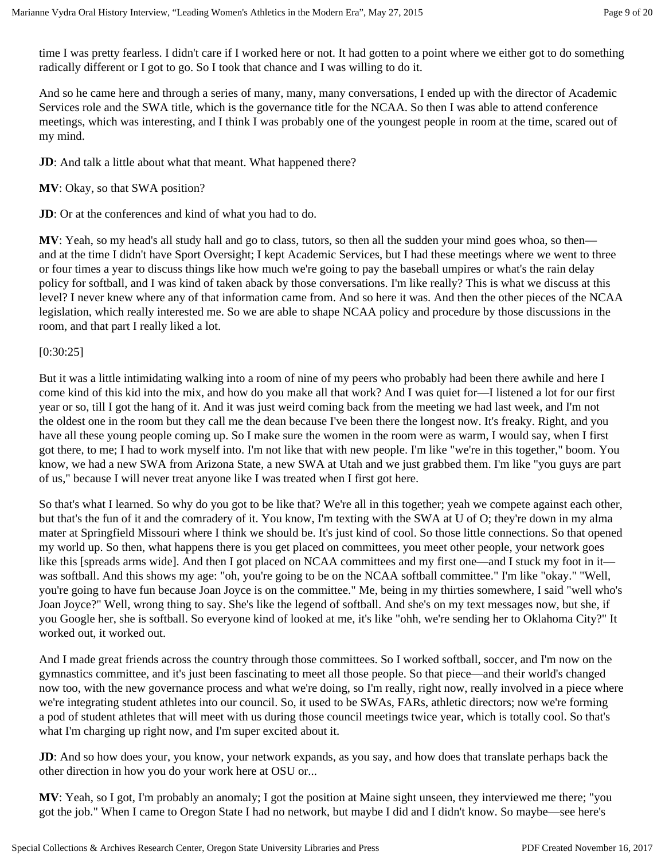time I was pretty fearless. I didn't care if I worked here or not. It had gotten to a point where we either got to do something radically different or I got to go. So I took that chance and I was willing to do it.

And so he came here and through a series of many, many, many conversations, I ended up with the director of Academic Services role and the SWA title, which is the governance title for the NCAA. So then I was able to attend conference meetings, which was interesting, and I think I was probably one of the youngest people in room at the time, scared out of my mind.

**JD**: And talk a little about what that meant. What happened there?

# **MV**: Okay, so that SWA position?

**JD**: Or at the conferences and kind of what you had to do.

**MV**: Yeah, so my head's all study hall and go to class, tutors, so then all the sudden your mind goes whoa, so then and at the time I didn't have Sport Oversight; I kept Academic Services, but I had these meetings where we went to three or four times a year to discuss things like how much we're going to pay the baseball umpires or what's the rain delay policy for softball, and I was kind of taken aback by those conversations. I'm like really? This is what we discuss at this level? I never knew where any of that information came from. And so here it was. And then the other pieces of the NCAA legislation, which really interested me. So we are able to shape NCAA policy and procedure by those discussions in the room, and that part I really liked a lot.

## [0:30:25]

But it was a little intimidating walking into a room of nine of my peers who probably had been there awhile and here I come kind of this kid into the mix, and how do you make all that work? And I was quiet for—I listened a lot for our first year or so, till I got the hang of it. And it was just weird coming back from the meeting we had last week, and I'm not the oldest one in the room but they call me the dean because I've been there the longest now. It's freaky. Right, and you have all these young people coming up. So I make sure the women in the room were as warm, I would say, when I first got there, to me; I had to work myself into. I'm not like that with new people. I'm like "we're in this together," boom. You know, we had a new SWA from Arizona State, a new SWA at Utah and we just grabbed them. I'm like "you guys are part of us," because I will never treat anyone like I was treated when I first got here.

So that's what I learned. So why do you got to be like that? We're all in this together; yeah we compete against each other, but that's the fun of it and the comradery of it. You know, I'm texting with the SWA at U of O; they're down in my alma mater at Springfield Missouri where I think we should be. It's just kind of cool. So those little connections. So that opened my world up. So then, what happens there is you get placed on committees, you meet other people, your network goes like this [spreads arms wide]. And then I got placed on NCAA committees and my first one—and I stuck my foot in it was softball. And this shows my age: "oh, you're going to be on the NCAA softball committee." I'm like "okay." "Well, you're going to have fun because Joan Joyce is on the committee." Me, being in my thirties somewhere, I said "well who's Joan Joyce?" Well, wrong thing to say. She's like the legend of softball. And she's on my text messages now, but she, if you Google her, she is softball. So everyone kind of looked at me, it's like "ohh, we're sending her to Oklahoma City?" It worked out, it worked out.

And I made great friends across the country through those committees. So I worked softball, soccer, and I'm now on the gymnastics committee, and it's just been fascinating to meet all those people. So that piece—and their world's changed now too, with the new governance process and what we're doing, so I'm really, right now, really involved in a piece where we're integrating student athletes into our council. So, it used to be SWAs, FARs, athletic directors; now we're forming a pod of student athletes that will meet with us during those council meetings twice year, which is totally cool. So that's what I'm charging up right now, and I'm super excited about it.

**JD**: And so how does your, you know, your network expands, as you say, and how does that translate perhaps back the other direction in how you do your work here at OSU or...

**MV**: Yeah, so I got, I'm probably an anomaly; I got the position at Maine sight unseen, they interviewed me there; "you got the job." When I came to Oregon State I had no network, but maybe I did and I didn't know. So maybe—see here's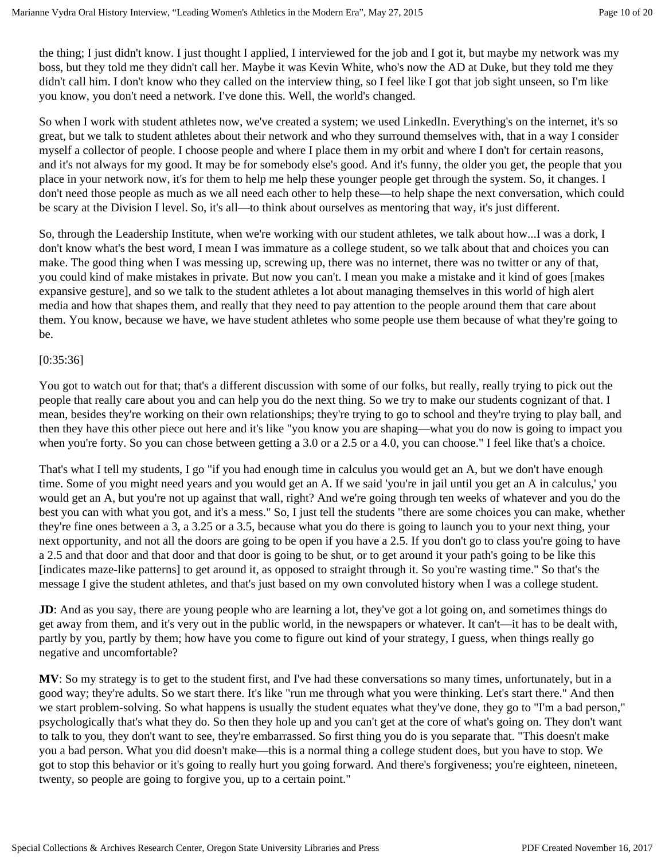the thing; I just didn't know. I just thought I applied, I interviewed for the job and I got it, but maybe my network was my boss, but they told me they didn't call her. Maybe it was Kevin White, who's now the AD at Duke, but they told me they didn't call him. I don't know who they called on the interview thing, so I feel like I got that job sight unseen, so I'm like you know, you don't need a network. I've done this. Well, the world's changed.

So when I work with student athletes now, we've created a system; we used LinkedIn. Everything's on the internet, it's so great, but we talk to student athletes about their network and who they surround themselves with, that in a way I consider myself a collector of people. I choose people and where I place them in my orbit and where I don't for certain reasons, and it's not always for my good. It may be for somebody else's good. And it's funny, the older you get, the people that you place in your network now, it's for them to help me help these younger people get through the system. So, it changes. I don't need those people as much as we all need each other to help these—to help shape the next conversation, which could be scary at the Division I level. So, it's all—to think about ourselves as mentoring that way, it's just different.

So, through the Leadership Institute, when we're working with our student athletes, we talk about how...I was a dork, I don't know what's the best word, I mean I was immature as a college student, so we talk about that and choices you can make. The good thing when I was messing up, screwing up, there was no internet, there was no twitter or any of that, you could kind of make mistakes in private. But now you can't. I mean you make a mistake and it kind of goes [makes expansive gesture], and so we talk to the student athletes a lot about managing themselves in this world of high alert media and how that shapes them, and really that they need to pay attention to the people around them that care about them. You know, because we have, we have student athletes who some people use them because of what they're going to be.

#### [0:35:36]

You got to watch out for that; that's a different discussion with some of our folks, but really, really trying to pick out the people that really care about you and can help you do the next thing. So we try to make our students cognizant of that. I mean, besides they're working on their own relationships; they're trying to go to school and they're trying to play ball, and then they have this other piece out here and it's like "you know you are shaping—what you do now is going to impact you when you're forty. So you can chose between getting a 3.0 or a 2.5 or a 4.0, you can choose." I feel like that's a choice.

That's what I tell my students, I go "if you had enough time in calculus you would get an A, but we don't have enough time. Some of you might need years and you would get an A. If we said 'you're in jail until you get an A in calculus,' you would get an A, but you're not up against that wall, right? And we're going through ten weeks of whatever and you do the best you can with what you got, and it's a mess." So, I just tell the students "there are some choices you can make, whether they're fine ones between a 3, a 3.25 or a 3.5, because what you do there is going to launch you to your next thing, your next opportunity, and not all the doors are going to be open if you have a 2.5. If you don't go to class you're going to have a 2.5 and that door and that door and that door is going to be shut, or to get around it your path's going to be like this [indicates maze-like patterns] to get around it, as opposed to straight through it. So you're wasting time." So that's the message I give the student athletes, and that's just based on my own convoluted history when I was a college student.

**JD**: And as you say, there are young people who are learning a lot, they've got a lot going on, and sometimes things do get away from them, and it's very out in the public world, in the newspapers or whatever. It can't—it has to be dealt with, partly by you, partly by them; how have you come to figure out kind of your strategy, I guess, when things really go negative and uncomfortable?

**MV**: So my strategy is to get to the student first, and I've had these conversations so many times, unfortunately, but in a good way; they're adults. So we start there. It's like "run me through what you were thinking. Let's start there." And then we start problem-solving. So what happens is usually the student equates what they've done, they go to "I'm a bad person," psychologically that's what they do. So then they hole up and you can't get at the core of what's going on. They don't want to talk to you, they don't want to see, they're embarrassed. So first thing you do is you separate that. "This doesn't make you a bad person. What you did doesn't make—this is a normal thing a college student does, but you have to stop. We got to stop this behavior or it's going to really hurt you going forward. And there's forgiveness; you're eighteen, nineteen, twenty, so people are going to forgive you, up to a certain point."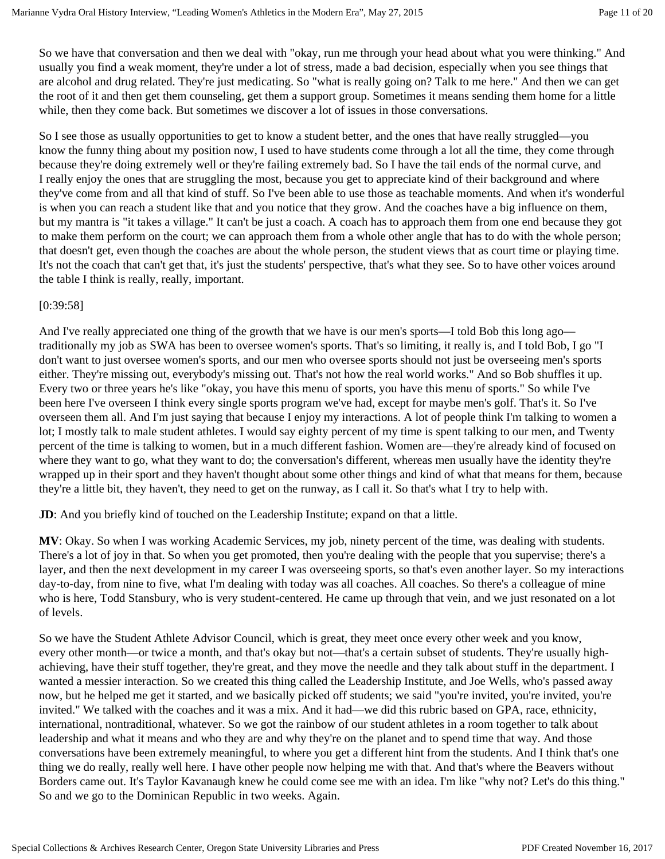So we have that conversation and then we deal with "okay, run me through your head about what you were thinking." And usually you find a weak moment, they're under a lot of stress, made a bad decision, especially when you see things that are alcohol and drug related. They're just medicating. So "what is really going on? Talk to me here." And then we can get the root of it and then get them counseling, get them a support group. Sometimes it means sending them home for a little while, then they come back. But sometimes we discover a lot of issues in those conversations.

So I see those as usually opportunities to get to know a student better, and the ones that have really struggled—you know the funny thing about my position now, I used to have students come through a lot all the time, they come through because they're doing extremely well or they're failing extremely bad. So I have the tail ends of the normal curve, and I really enjoy the ones that are struggling the most, because you get to appreciate kind of their background and where they've come from and all that kind of stuff. So I've been able to use those as teachable moments. And when it's wonderful is when you can reach a student like that and you notice that they grow. And the coaches have a big influence on them, but my mantra is "it takes a village." It can't be just a coach. A coach has to approach them from one end because they got to make them perform on the court; we can approach them from a whole other angle that has to do with the whole person; that doesn't get, even though the coaches are about the whole person, the student views that as court time or playing time. It's not the coach that can't get that, it's just the students' perspective, that's what they see. So to have other voices around the table I think is really, really, important.

#### [0:39:58]

And I've really appreciated one thing of the growth that we have is our men's sports—I told Bob this long ago traditionally my job as SWA has been to oversee women's sports. That's so limiting, it really is, and I told Bob, I go "I don't want to just oversee women's sports, and our men who oversee sports should not just be overseeing men's sports either. They're missing out, everybody's missing out. That's not how the real world works." And so Bob shuffles it up. Every two or three years he's like "okay, you have this menu of sports, you have this menu of sports." So while I've been here I've overseen I think every single sports program we've had, except for maybe men's golf. That's it. So I've overseen them all. And I'm just saying that because I enjoy my interactions. A lot of people think I'm talking to women a lot; I mostly talk to male student athletes. I would say eighty percent of my time is spent talking to our men, and Twenty percent of the time is talking to women, but in a much different fashion. Women are—they're already kind of focused on where they want to go, what they want to do; the conversation's different, whereas men usually have the identity they're wrapped up in their sport and they haven't thought about some other things and kind of what that means for them, because they're a little bit, they haven't, they need to get on the runway, as I call it. So that's what I try to help with.

**JD**: And you briefly kind of touched on the Leadership Institute; expand on that a little.

**MV**: Okay. So when I was working Academic Services, my job, ninety percent of the time, was dealing with students. There's a lot of joy in that. So when you get promoted, then you're dealing with the people that you supervise; there's a layer, and then the next development in my career I was overseeing sports, so that's even another layer. So my interactions day-to-day, from nine to five, what I'm dealing with today was all coaches. All coaches. So there's a colleague of mine who is here, Todd Stansbury, who is very student-centered. He came up through that vein, and we just resonated on a lot of levels.

So we have the Student Athlete Advisor Council, which is great, they meet once every other week and you know, every other month—or twice a month, and that's okay but not—that's a certain subset of students. They're usually highachieving, have their stuff together, they're great, and they move the needle and they talk about stuff in the department. I wanted a messier interaction. So we created this thing called the Leadership Institute, and Joe Wells, who's passed away now, but he helped me get it started, and we basically picked off students; we said "you're invited, you're invited, you're invited." We talked with the coaches and it was a mix. And it had—we did this rubric based on GPA, race, ethnicity, international, nontraditional, whatever. So we got the rainbow of our student athletes in a room together to talk about leadership and what it means and who they are and why they're on the planet and to spend time that way. And those conversations have been extremely meaningful, to where you get a different hint from the students. And I think that's one thing we do really, really well here. I have other people now helping me with that. And that's where the Beavers without Borders came out. It's Taylor Kavanaugh knew he could come see me with an idea. I'm like "why not? Let's do this thing." So and we go to the Dominican Republic in two weeks. Again.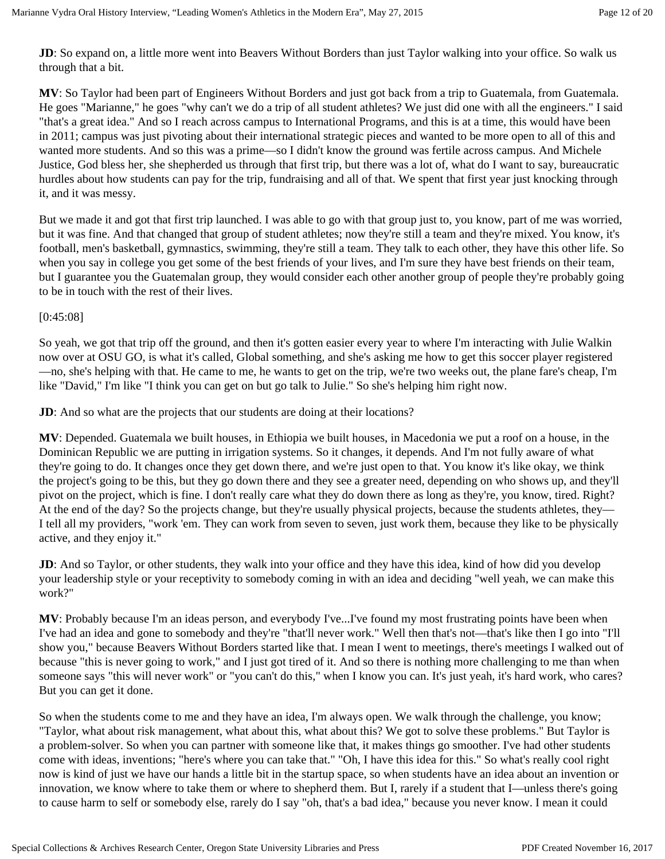**JD**: So expand on, a little more went into Beavers Without Borders than just Taylor walking into your office. So walk us through that a bit.

**MV**: So Taylor had been part of Engineers Without Borders and just got back from a trip to Guatemala, from Guatemala. He goes "Marianne," he goes "why can't we do a trip of all student athletes? We just did one with all the engineers." I said "that's a great idea." And so I reach across campus to International Programs, and this is at a time, this would have been in 2011; campus was just pivoting about their international strategic pieces and wanted to be more open to all of this and wanted more students. And so this was a prime—so I didn't know the ground was fertile across campus. And Michele Justice, God bless her, she shepherded us through that first trip, but there was a lot of, what do I want to say, bureaucratic hurdles about how students can pay for the trip, fundraising and all of that. We spent that first year just knocking through it, and it was messy.

But we made it and got that first trip launched. I was able to go with that group just to, you know, part of me was worried, but it was fine. And that changed that group of student athletes; now they're still a team and they're mixed. You know, it's football, men's basketball, gymnastics, swimming, they're still a team. They talk to each other, they have this other life. So when you say in college you get some of the best friends of your lives, and I'm sure they have best friends on their team, but I guarantee you the Guatemalan group, they would consider each other another group of people they're probably going to be in touch with the rest of their lives.

#### [0:45:08]

So yeah, we got that trip off the ground, and then it's gotten easier every year to where I'm interacting with Julie Walkin now over at OSU GO, is what it's called, Global something, and she's asking me how to get this soccer player registered —no, she's helping with that. He came to me, he wants to get on the trip, we're two weeks out, the plane fare's cheap, I'm like "David," I'm like "I think you can get on but go talk to Julie." So she's helping him right now.

**JD**: And so what are the projects that our students are doing at their locations?

**MV**: Depended. Guatemala we built houses, in Ethiopia we built houses, in Macedonia we put a roof on a house, in the Dominican Republic we are putting in irrigation systems. So it changes, it depends. And I'm not fully aware of what they're going to do. It changes once they get down there, and we're just open to that. You know it's like okay, we think the project's going to be this, but they go down there and they see a greater need, depending on who shows up, and they'll pivot on the project, which is fine. I don't really care what they do down there as long as they're, you know, tired. Right? At the end of the day? So the projects change, but they're usually physical projects, because the students athletes, they— I tell all my providers, "work 'em. They can work from seven to seven, just work them, because they like to be physically active, and they enjoy it."

**JD**: And so Taylor, or other students, they walk into your office and they have this idea, kind of how did you develop your leadership style or your receptivity to somebody coming in with an idea and deciding "well yeah, we can make this work?"

**MV**: Probably because I'm an ideas person, and everybody I've...I've found my most frustrating points have been when I've had an idea and gone to somebody and they're "that'll never work." Well then that's not—that's like then I go into "I'll show you," because Beavers Without Borders started like that. I mean I went to meetings, there's meetings I walked out of because "this is never going to work," and I just got tired of it. And so there is nothing more challenging to me than when someone says "this will never work" or "you can't do this," when I know you can. It's just yeah, it's hard work, who cares? But you can get it done.

So when the students come to me and they have an idea, I'm always open. We walk through the challenge, you know; "Taylor, what about risk management, what about this, what about this? We got to solve these problems." But Taylor is a problem-solver. So when you can partner with someone like that, it makes things go smoother. I've had other students come with ideas, inventions; "here's where you can take that." "Oh, I have this idea for this." So what's really cool right now is kind of just we have our hands a little bit in the startup space, so when students have an idea about an invention or innovation, we know where to take them or where to shepherd them. But I, rarely if a student that I—unless there's going to cause harm to self or somebody else, rarely do I say "oh, that's a bad idea," because you never know. I mean it could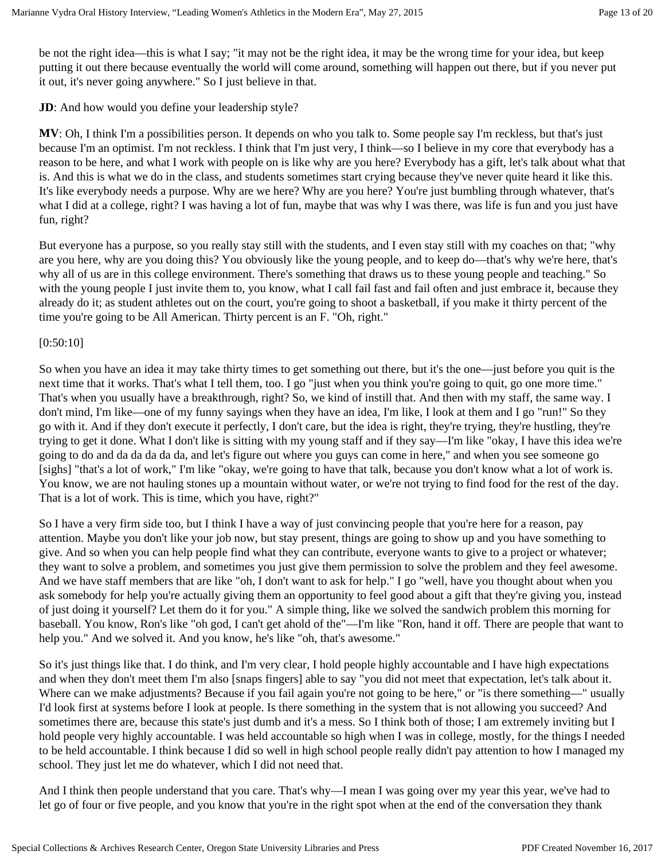be not the right idea—this is what I say; "it may not be the right idea, it may be the wrong time for your idea, but keep putting it out there because eventually the world will come around, something will happen out there, but if you never put it out, it's never going anywhere." So I just believe in that.

**JD**: And how would you define your leadership style?

**MV**: Oh, I think I'm a possibilities person. It depends on who you talk to. Some people say I'm reckless, but that's just because I'm an optimist. I'm not reckless. I think that I'm just very, I think—so I believe in my core that everybody has a reason to be here, and what I work with people on is like why are you here? Everybody has a gift, let's talk about what that is. And this is what we do in the class, and students sometimes start crying because they've never quite heard it like this. It's like everybody needs a purpose. Why are we here? Why are you here? You're just bumbling through whatever, that's what I did at a college, right? I was having a lot of fun, maybe that was why I was there, was life is fun and you just have fun, right?

But everyone has a purpose, so you really stay still with the students, and I even stay still with my coaches on that; "why are you here, why are you doing this? You obviously like the young people, and to keep do—that's why we're here, that's why all of us are in this college environment. There's something that draws us to these young people and teaching." So with the young people I just invite them to, you know, what I call fail fast and fail often and just embrace it, because they already do it; as student athletes out on the court, you're going to shoot a basketball, if you make it thirty percent of the time you're going to be All American. Thirty percent is an F. "Oh, right."

## [0:50:10]

So when you have an idea it may take thirty times to get something out there, but it's the one—just before you quit is the next time that it works. That's what I tell them, too. I go "just when you think you're going to quit, go one more time." That's when you usually have a breakthrough, right? So, we kind of instill that. And then with my staff, the same way. I don't mind, I'm like—one of my funny sayings when they have an idea, I'm like, I look at them and I go "run!" So they go with it. And if they don't execute it perfectly, I don't care, but the idea is right, they're trying, they're hustling, they're trying to get it done. What I don't like is sitting with my young staff and if they say—I'm like "okay, I have this idea we're going to do and da da da da da, and let's figure out where you guys can come in here," and when you see someone go [sighs] "that's a lot of work," I'm like "okay, we're going to have that talk, because you don't know what a lot of work is. You know, we are not hauling stones up a mountain without water, or we're not trying to find food for the rest of the day. That is a lot of work. This is time, which you have, right?"

So I have a very firm side too, but I think I have a way of just convincing people that you're here for a reason, pay attention. Maybe you don't like your job now, but stay present, things are going to show up and you have something to give. And so when you can help people find what they can contribute, everyone wants to give to a project or whatever; they want to solve a problem, and sometimes you just give them permission to solve the problem and they feel awesome. And we have staff members that are like "oh, I don't want to ask for help." I go "well, have you thought about when you ask somebody for help you're actually giving them an opportunity to feel good about a gift that they're giving you, instead of just doing it yourself? Let them do it for you." A simple thing, like we solved the sandwich problem this morning for baseball. You know, Ron's like "oh god, I can't get ahold of the"—I'm like "Ron, hand it off. There are people that want to help you." And we solved it. And you know, he's like "oh, that's awesome."

So it's just things like that. I do think, and I'm very clear, I hold people highly accountable and I have high expectations and when they don't meet them I'm also [snaps fingers] able to say "you did not meet that expectation, let's talk about it. Where can we make adjustments? Because if you fail again you're not going to be here," or "is there something—" usually I'd look first at systems before I look at people. Is there something in the system that is not allowing you succeed? And sometimes there are, because this state's just dumb and it's a mess. So I think both of those; I am extremely inviting but I hold people very highly accountable. I was held accountable so high when I was in college, mostly, for the things I needed to be held accountable. I think because I did so well in high school people really didn't pay attention to how I managed my school. They just let me do whatever, which I did not need that.

And I think then people understand that you care. That's why—I mean I was going over my year this year, we've had to let go of four or five people, and you know that you're in the right spot when at the end of the conversation they thank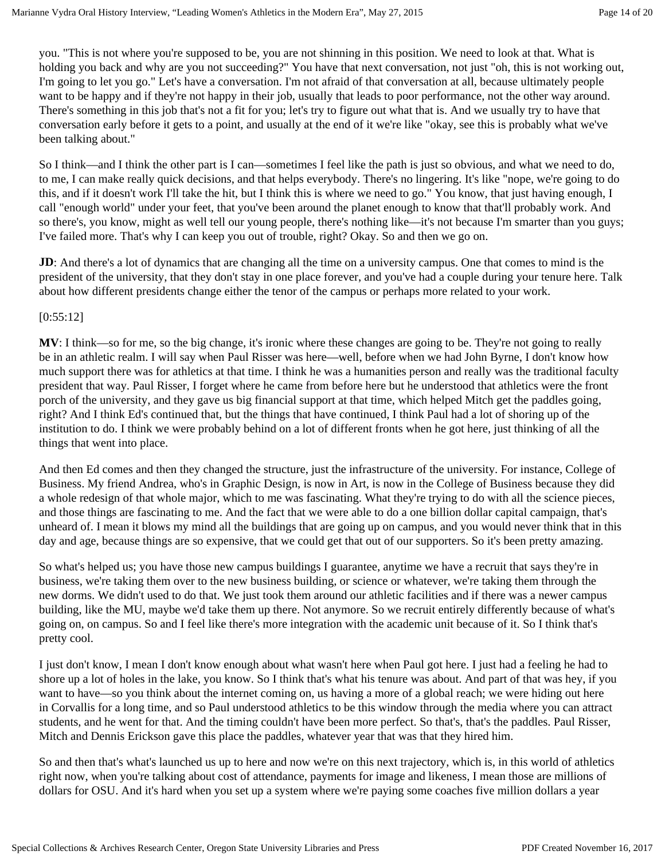you. "This is not where you're supposed to be, you are not shinning in this position. We need to look at that. What is holding you back and why are you not succeeding?" You have that next conversation, not just "oh, this is not working out, I'm going to let you go." Let's have a conversation. I'm not afraid of that conversation at all, because ultimately people want to be happy and if they're not happy in their job, usually that leads to poor performance, not the other way around. There's something in this job that's not a fit for you; let's try to figure out what that is. And we usually try to have that conversation early before it gets to a point, and usually at the end of it we're like "okay, see this is probably what we've been talking about."

So I think—and I think the other part is I can—sometimes I feel like the path is just so obvious, and what we need to do, to me, I can make really quick decisions, and that helps everybody. There's no lingering. It's like "nope, we're going to do this, and if it doesn't work I'll take the hit, but I think this is where we need to go." You know, that just having enough, I call "enough world" under your feet, that you've been around the planet enough to know that that'll probably work. And so there's, you know, might as well tell our young people, there's nothing like—it's not because I'm smarter than you guys; I've failed more. That's why I can keep you out of trouble, right? Okay. So and then we go on.

**JD**: And there's a lot of dynamics that are changing all the time on a university campus. One that comes to mind is the president of the university, that they don't stay in one place forever, and you've had a couple during your tenure here. Talk about how different presidents change either the tenor of the campus or perhaps more related to your work.

#### [0:55:12]

**MV**: I think—so for me, so the big change, it's ironic where these changes are going to be. They're not going to really be in an athletic realm. I will say when Paul Risser was here—well, before when we had John Byrne, I don't know how much support there was for athletics at that time. I think he was a humanities person and really was the traditional faculty president that way. Paul Risser, I forget where he came from before here but he understood that athletics were the front porch of the university, and they gave us big financial support at that time, which helped Mitch get the paddles going, right? And I think Ed's continued that, but the things that have continued, I think Paul had a lot of shoring up of the institution to do. I think we were probably behind on a lot of different fronts when he got here, just thinking of all the things that went into place.

And then Ed comes and then they changed the structure, just the infrastructure of the university. For instance, College of Business. My friend Andrea, who's in Graphic Design, is now in Art, is now in the College of Business because they did a whole redesign of that whole major, which to me was fascinating. What they're trying to do with all the science pieces, and those things are fascinating to me. And the fact that we were able to do a one billion dollar capital campaign, that's unheard of. I mean it blows my mind all the buildings that are going up on campus, and you would never think that in this day and age, because things are so expensive, that we could get that out of our supporters. So it's been pretty amazing.

So what's helped us; you have those new campus buildings I guarantee, anytime we have a recruit that says they're in business, we're taking them over to the new business building, or science or whatever, we're taking them through the new dorms. We didn't used to do that. We just took them around our athletic facilities and if there was a newer campus building, like the MU, maybe we'd take them up there. Not anymore. So we recruit entirely differently because of what's going on, on campus. So and I feel like there's more integration with the academic unit because of it. So I think that's pretty cool.

I just don't know, I mean I don't know enough about what wasn't here when Paul got here. I just had a feeling he had to shore up a lot of holes in the lake, you know. So I think that's what his tenure was about. And part of that was hey, if you want to have—so you think about the internet coming on, us having a more of a global reach; we were hiding out here in Corvallis for a long time, and so Paul understood athletics to be this window through the media where you can attract students, and he went for that. And the timing couldn't have been more perfect. So that's, that's the paddles. Paul Risser, Mitch and Dennis Erickson gave this place the paddles, whatever year that was that they hired him.

So and then that's what's launched us up to here and now we're on this next trajectory, which is, in this world of athletics right now, when you're talking about cost of attendance, payments for image and likeness, I mean those are millions of dollars for OSU. And it's hard when you set up a system where we're paying some coaches five million dollars a year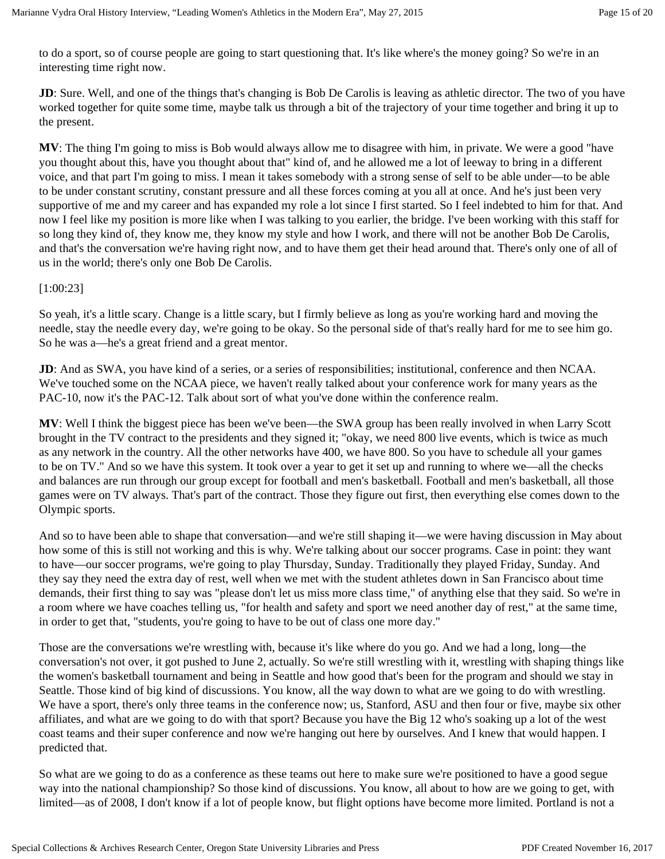to do a sport, so of course people are going to start questioning that. It's like where's the money going? So we're in an interesting time right now.

**JD**: Sure. Well, and one of the things that's changing is Bob De Carolis is leaving as athletic director. The two of you have worked together for quite some time, maybe talk us through a bit of the trajectory of your time together and bring it up to the present.

**MV**: The thing I'm going to miss is Bob would always allow me to disagree with him, in private. We were a good "have you thought about this, have you thought about that" kind of, and he allowed me a lot of leeway to bring in a different voice, and that part I'm going to miss. I mean it takes somebody with a strong sense of self to be able under—to be able to be under constant scrutiny, constant pressure and all these forces coming at you all at once. And he's just been very supportive of me and my career and has expanded my role a lot since I first started. So I feel indebted to him for that. And now I feel like my position is more like when I was talking to you earlier, the bridge. I've been working with this staff for so long they kind of, they know me, they know my style and how I work, and there will not be another Bob De Carolis, and that's the conversation we're having right now, and to have them get their head around that. There's only one of all of us in the world; there's only one Bob De Carolis.

#### [1:00:23]

So yeah, it's a little scary. Change is a little scary, but I firmly believe as long as you're working hard and moving the needle, stay the needle every day, we're going to be okay. So the personal side of that's really hard for me to see him go. So he was a—he's a great friend and a great mentor.

**JD**: And as SWA, you have kind of a series, or a series of responsibilities; institutional, conference and then NCAA. We've touched some on the NCAA piece, we haven't really talked about your conference work for many years as the PAC-10, now it's the PAC-12. Talk about sort of what you've done within the conference realm.

**MV**: Well I think the biggest piece has been we've been—the SWA group has been really involved in when Larry Scott brought in the TV contract to the presidents and they signed it; "okay, we need 800 live events, which is twice as much as any network in the country. All the other networks have 400, we have 800. So you have to schedule all your games to be on TV." And so we have this system. It took over a year to get it set up and running to where we—all the checks and balances are run through our group except for football and men's basketball. Football and men's basketball, all those games were on TV always. That's part of the contract. Those they figure out first, then everything else comes down to the Olympic sports.

And so to have been able to shape that conversation—and we're still shaping it—we were having discussion in May about how some of this is still not working and this is why. We're talking about our soccer programs. Case in point: they want to have—our soccer programs, we're going to play Thursday, Sunday. Traditionally they played Friday, Sunday. And they say they need the extra day of rest, well when we met with the student athletes down in San Francisco about time demands, their first thing to say was "please don't let us miss more class time," of anything else that they said. So we're in a room where we have coaches telling us, "for health and safety and sport we need another day of rest," at the same time, in order to get that, "students, you're going to have to be out of class one more day."

Those are the conversations we're wrestling with, because it's like where do you go. And we had a long, long—the conversation's not over, it got pushed to June 2, actually. So we're still wrestling with it, wrestling with shaping things like the women's basketball tournament and being in Seattle and how good that's been for the program and should we stay in Seattle. Those kind of big kind of discussions. You know, all the way down to what are we going to do with wrestling. We have a sport, there's only three teams in the conference now; us, Stanford, ASU and then four or five, maybe six other affiliates, and what are we going to do with that sport? Because you have the Big 12 who's soaking up a lot of the west coast teams and their super conference and now we're hanging out here by ourselves. And I knew that would happen. I predicted that.

So what are we going to do as a conference as these teams out here to make sure we're positioned to have a good segue way into the national championship? So those kind of discussions. You know, all about to how are we going to get, with limited—as of 2008, I don't know if a lot of people know, but flight options have become more limited. Portland is not a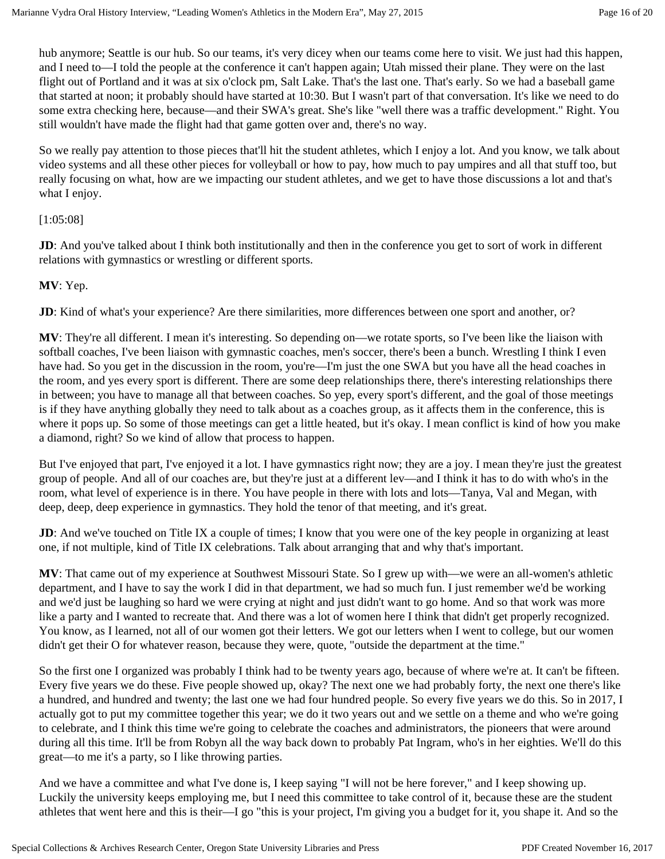hub anymore; Seattle is our hub. So our teams, it's very dicey when our teams come here to visit. We just had this happen, and I need to—I told the people at the conference it can't happen again; Utah missed their plane. They were on the last flight out of Portland and it was at six o'clock pm, Salt Lake. That's the last one. That's early. So we had a baseball game that started at noon; it probably should have started at 10:30. But I wasn't part of that conversation. It's like we need to do some extra checking here, because—and their SWA's great. She's like "well there was a traffic development." Right. You still wouldn't have made the flight had that game gotten over and, there's no way.

So we really pay attention to those pieces that'll hit the student athletes, which I enjoy a lot. And you know, we talk about video systems and all these other pieces for volleyball or how to pay, how much to pay umpires and all that stuff too, but really focusing on what, how are we impacting our student athletes, and we get to have those discussions a lot and that's what I enjoy.

#### [1:05:08]

**JD**: And you've talked about I think both institutionally and then in the conference you get to sort of work in different relations with gymnastics or wrestling or different sports.

## **MV**: Yep.

**JD**: Kind of what's your experience? Are there similarities, more differences between one sport and another, or?

**MV**: They're all different. I mean it's interesting. So depending on—we rotate sports, so I've been like the liaison with softball coaches, I've been liaison with gymnastic coaches, men's soccer, there's been a bunch. Wrestling I think I even have had. So you get in the discussion in the room, you're—I'm just the one SWA but you have all the head coaches in the room, and yes every sport is different. There are some deep relationships there, there's interesting relationships there in between; you have to manage all that between coaches. So yep, every sport's different, and the goal of those meetings is if they have anything globally they need to talk about as a coaches group, as it affects them in the conference, this is where it pops up. So some of those meetings can get a little heated, but it's okay. I mean conflict is kind of how you make a diamond, right? So we kind of allow that process to happen.

But I've enjoyed that part, I've enjoyed it a lot. I have gymnastics right now; they are a joy. I mean they're just the greatest group of people. And all of our coaches are, but they're just at a different lev—and I think it has to do with who's in the room, what level of experience is in there. You have people in there with lots and lots—Tanya, Val and Megan, with deep, deep, deep experience in gymnastics. They hold the tenor of that meeting, and it's great.

**JD**: And we've touched on Title IX a couple of times; I know that you were one of the key people in organizing at least one, if not multiple, kind of Title IX celebrations. Talk about arranging that and why that's important.

**MV**: That came out of my experience at Southwest Missouri State. So I grew up with—we were an all-women's athletic department, and I have to say the work I did in that department, we had so much fun. I just remember we'd be working and we'd just be laughing so hard we were crying at night and just didn't want to go home. And so that work was more like a party and I wanted to recreate that. And there was a lot of women here I think that didn't get properly recognized. You know, as I learned, not all of our women got their letters. We got our letters when I went to college, but our women didn't get their O for whatever reason, because they were, quote, "outside the department at the time."

So the first one I organized was probably I think had to be twenty years ago, because of where we're at. It can't be fifteen. Every five years we do these. Five people showed up, okay? The next one we had probably forty, the next one there's like a hundred, and hundred and twenty; the last one we had four hundred people. So every five years we do this. So in 2017, I actually got to put my committee together this year; we do it two years out and we settle on a theme and who we're going to celebrate, and I think this time we're going to celebrate the coaches and administrators, the pioneers that were around during all this time. It'll be from Robyn all the way back down to probably Pat Ingram, who's in her eighties. We'll do this great—to me it's a party, so I like throwing parties.

And we have a committee and what I've done is, I keep saying "I will not be here forever," and I keep showing up. Luckily the university keeps employing me, but I need this committee to take control of it, because these are the student athletes that went here and this is their—I go "this is your project, I'm giving you a budget for it, you shape it. And so the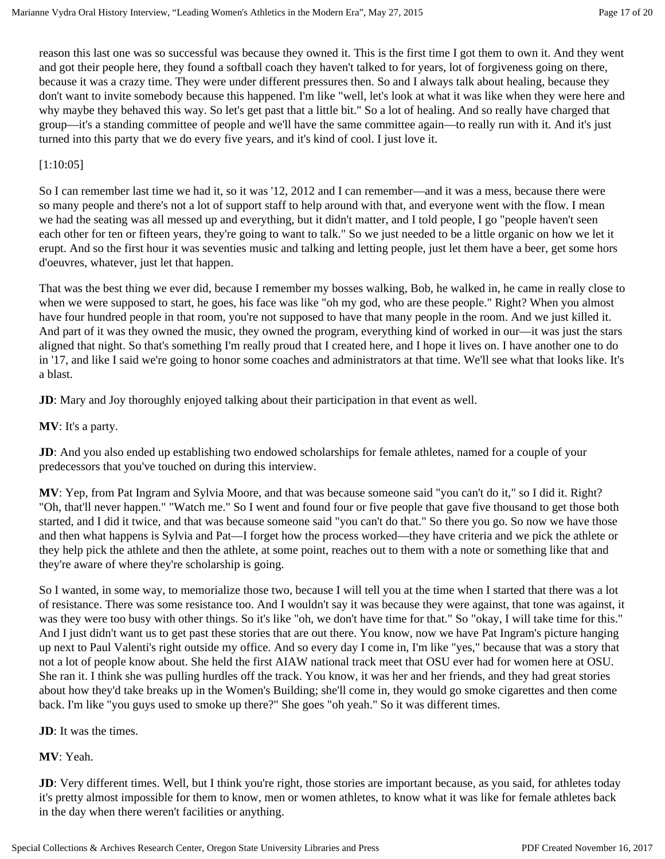reason this last one was so successful was because they owned it. This is the first time I got them to own it. And they went and got their people here, they found a softball coach they haven't talked to for years, lot of forgiveness going on there, because it was a crazy time. They were under different pressures then. So and I always talk about healing, because they don't want to invite somebody because this happened. I'm like "well, let's look at what it was like when they were here and why maybe they behaved this way. So let's get past that a little bit." So a lot of healing. And so really have charged that group—it's a standing committee of people and we'll have the same committee again—to really run with it. And it's just turned into this party that we do every five years, and it's kind of cool. I just love it.

#### [1:10:05]

So I can remember last time we had it, so it was '12, 2012 and I can remember—and it was a mess, because there were so many people and there's not a lot of support staff to help around with that, and everyone went with the flow. I mean we had the seating was all messed up and everything, but it didn't matter, and I told people, I go "people haven't seen each other for ten or fifteen years, they're going to want to talk." So we just needed to be a little organic on how we let it erupt. And so the first hour it was seventies music and talking and letting people, just let them have a beer, get some hors d'oeuvres, whatever, just let that happen.

That was the best thing we ever did, because I remember my bosses walking, Bob, he walked in, he came in really close to when we were supposed to start, he goes, his face was like "oh my god, who are these people." Right? When you almost have four hundred people in that room, you're not supposed to have that many people in the room. And we just killed it. And part of it was they owned the music, they owned the program, everything kind of worked in our—it was just the stars aligned that night. So that's something I'm really proud that I created here, and I hope it lives on. I have another one to do in '17, and like I said we're going to honor some coaches and administrators at that time. We'll see what that looks like. It's a blast.

**JD**: Mary and Joy thoroughly enjoyed talking about their participation in that event as well.

**MV**: It's a party.

**JD**: And you also ended up establishing two endowed scholarships for female athletes, named for a couple of your predecessors that you've touched on during this interview.

**MV**: Yep, from Pat Ingram and Sylvia Moore, and that was because someone said "you can't do it," so I did it. Right? "Oh, that'll never happen." "Watch me." So I went and found four or five people that gave five thousand to get those both started, and I did it twice, and that was because someone said "you can't do that." So there you go. So now we have those and then what happens is Sylvia and Pat—I forget how the process worked—they have criteria and we pick the athlete or they help pick the athlete and then the athlete, at some point, reaches out to them with a note or something like that and they're aware of where they're scholarship is going.

So I wanted, in some way, to memorialize those two, because I will tell you at the time when I started that there was a lot of resistance. There was some resistance too. And I wouldn't say it was because they were against, that tone was against, it was they were too busy with other things. So it's like "oh, we don't have time for that." So "okay, I will take time for this." And I just didn't want us to get past these stories that are out there. You know, now we have Pat Ingram's picture hanging up next to Paul Valenti's right outside my office. And so every day I come in, I'm like "yes," because that was a story that not a lot of people know about. She held the first AIAW national track meet that OSU ever had for women here at OSU. She ran it. I think she was pulling hurdles off the track. You know, it was her and her friends, and they had great stories about how they'd take breaks up in the Women's Building; she'll come in, they would go smoke cigarettes and then come back. I'm like "you guys used to smoke up there?" She goes "oh yeah." So it was different times.

**JD**: It was the times.

#### **MV**: Yeah.

**JD**: Very different times. Well, but I think you're right, those stories are important because, as you said, for athletes today it's pretty almost impossible for them to know, men or women athletes, to know what it was like for female athletes back in the day when there weren't facilities or anything.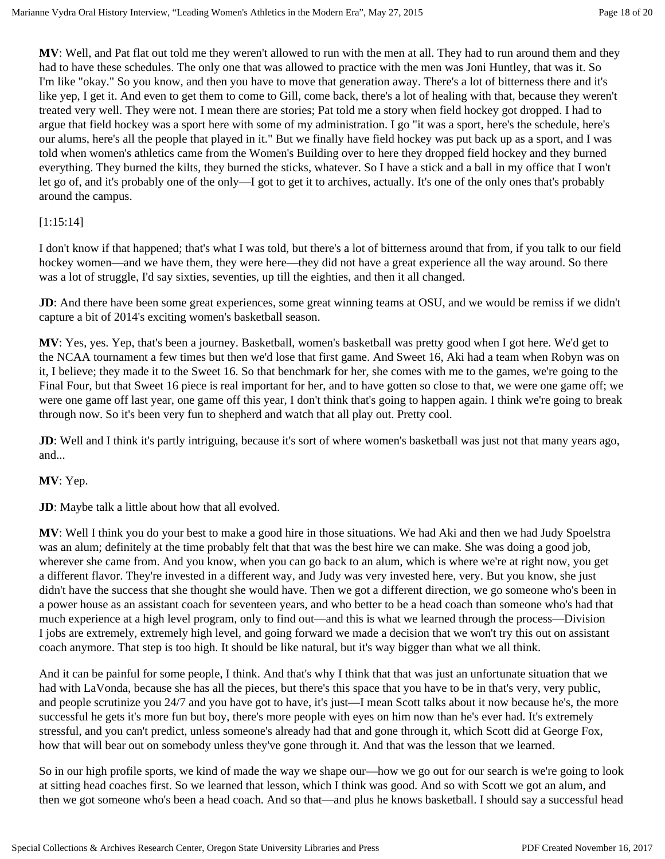**MV**: Well, and Pat flat out told me they weren't allowed to run with the men at all. They had to run around them and they had to have these schedules. The only one that was allowed to practice with the men was Joni Huntley, that was it. So I'm like "okay." So you know, and then you have to move that generation away. There's a lot of bitterness there and it's like yep, I get it. And even to get them to come to Gill, come back, there's a lot of healing with that, because they weren't treated very well. They were not. I mean there are stories; Pat told me a story when field hockey got dropped. I had to argue that field hockey was a sport here with some of my administration. I go "it was a sport, here's the schedule, here's our alums, here's all the people that played in it." But we finally have field hockey was put back up as a sport, and I was told when women's athletics came from the Women's Building over to here they dropped field hockey and they burned everything. They burned the kilts, they burned the sticks, whatever. So I have a stick and a ball in my office that I won't let go of, and it's probably one of the only—I got to get it to archives, actually. It's one of the only ones that's probably around the campus.

#### [1:15:14]

I don't know if that happened; that's what I was told, but there's a lot of bitterness around that from, if you talk to our field hockey women—and we have them, they were here—they did not have a great experience all the way around. So there was a lot of struggle, I'd say sixties, seventies, up till the eighties, and then it all changed.

**JD**: And there have been some great experiences, some great winning teams at OSU, and we would be remiss if we didn't capture a bit of 2014's exciting women's basketball season.

**MV**: Yes, yes. Yep, that's been a journey. Basketball, women's basketball was pretty good when I got here. We'd get to the NCAA tournament a few times but then we'd lose that first game. And Sweet 16, Aki had a team when Robyn was on it, I believe; they made it to the Sweet 16. So that benchmark for her, she comes with me to the games, we're going to the Final Four, but that Sweet 16 piece is real important for her, and to have gotten so close to that, we were one game off; we were one game off last year, one game off this year, I don't think that's going to happen again. I think we're going to break through now. So it's been very fun to shepherd and watch that all play out. Pretty cool.

**JD**: Well and I think it's partly intriguing, because it's sort of where women's basketball was just not that many years ago, and...

#### **MV**: Yep.

**JD**: Maybe talk a little about how that all evolved.

**MV**: Well I think you do your best to make a good hire in those situations. We had Aki and then we had Judy Spoelstra was an alum; definitely at the time probably felt that that was the best hire we can make. She was doing a good job, wherever she came from. And you know, when you can go back to an alum, which is where we're at right now, you get a different flavor. They're invested in a different way, and Judy was very invested here, very. But you know, she just didn't have the success that she thought she would have. Then we got a different direction, we go someone who's been in a power house as an assistant coach for seventeen years, and who better to be a head coach than someone who's had that much experience at a high level program, only to find out—and this is what we learned through the process—Division I jobs are extremely, extremely high level, and going forward we made a decision that we won't try this out on assistant coach anymore. That step is too high. It should be like natural, but it's way bigger than what we all think.

And it can be painful for some people, I think. And that's why I think that that was just an unfortunate situation that we had with LaVonda, because she has all the pieces, but there's this space that you have to be in that's very, very public, and people scrutinize you 24/7 and you have got to have, it's just—I mean Scott talks about it now because he's, the more successful he gets it's more fun but boy, there's more people with eyes on him now than he's ever had. It's extremely stressful, and you can't predict, unless someone's already had that and gone through it, which Scott did at George Fox, how that will bear out on somebody unless they've gone through it. And that was the lesson that we learned.

So in our high profile sports, we kind of made the way we shape our—how we go out for our search is we're going to look at sitting head coaches first. So we learned that lesson, which I think was good. And so with Scott we got an alum, and then we got someone who's been a head coach. And so that—and plus he knows basketball. I should say a successful head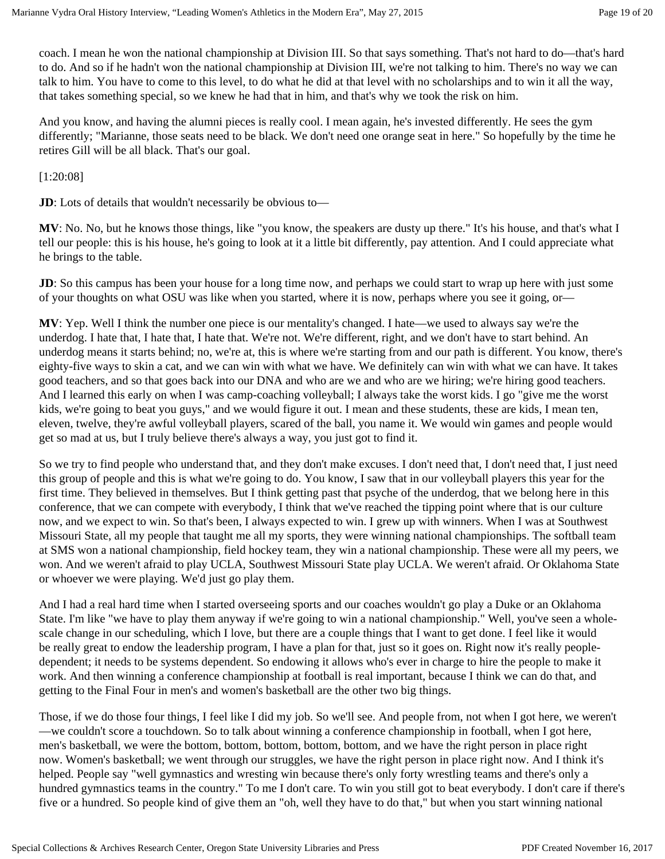coach. I mean he won the national championship at Division III. So that says something. That's not hard to do—that's hard to do. And so if he hadn't won the national championship at Division III, we're not talking to him. There's no way we can talk to him. You have to come to this level, to do what he did at that level with no scholarships and to win it all the way, that takes something special, so we knew he had that in him, and that's why we took the risk on him.

And you know, and having the alumni pieces is really cool. I mean again, he's invested differently. He sees the gym differently; "Marianne, those seats need to be black. We don't need one orange seat in here." So hopefully by the time he retires Gill will be all black. That's our goal.

[1:20:08]

**JD**: Lots of details that wouldn't necessarily be obvious to—

**MV**: No. No, but he knows those things, like "you know, the speakers are dusty up there." It's his house, and that's what I tell our people: this is his house, he's going to look at it a little bit differently, pay attention. And I could appreciate what he brings to the table.

**JD**: So this campus has been your house for a long time now, and perhaps we could start to wrap up here with just some of your thoughts on what OSU was like when you started, where it is now, perhaps where you see it going, or—

**MV**: Yep. Well I think the number one piece is our mentality's changed. I hate—we used to always say we're the underdog. I hate that, I hate that, I hate that. We're not. We're different, right, and we don't have to start behind. An underdog means it starts behind; no, we're at, this is where we're starting from and our path is different. You know, there's eighty-five ways to skin a cat, and we can win with what we have. We definitely can win with what we can have. It takes good teachers, and so that goes back into our DNA and who are we and who are we hiring; we're hiring good teachers. And I learned this early on when I was camp-coaching volleyball; I always take the worst kids. I go "give me the worst kids, we're going to beat you guys," and we would figure it out. I mean and these students, these are kids, I mean ten, eleven, twelve, they're awful volleyball players, scared of the ball, you name it. We would win games and people would get so mad at us, but I truly believe there's always a way, you just got to find it.

So we try to find people who understand that, and they don't make excuses. I don't need that, I don't need that, I just need this group of people and this is what we're going to do. You know, I saw that in our volleyball players this year for the first time. They believed in themselves. But I think getting past that psyche of the underdog, that we belong here in this conference, that we can compete with everybody, I think that we've reached the tipping point where that is our culture now, and we expect to win. So that's been, I always expected to win. I grew up with winners. When I was at Southwest Missouri State, all my people that taught me all my sports, they were winning national championships. The softball team at SMS won a national championship, field hockey team, they win a national championship. These were all my peers, we won. And we weren't afraid to play UCLA, Southwest Missouri State play UCLA. We weren't afraid. Or Oklahoma State or whoever we were playing. We'd just go play them.

And I had a real hard time when I started overseeing sports and our coaches wouldn't go play a Duke or an Oklahoma State. I'm like "we have to play them anyway if we're going to win a national championship." Well, you've seen a wholescale change in our scheduling, which I love, but there are a couple things that I want to get done. I feel like it would be really great to endow the leadership program, I have a plan for that, just so it goes on. Right now it's really peopledependent; it needs to be systems dependent. So endowing it allows who's ever in charge to hire the people to make it work. And then winning a conference championship at football is real important, because I think we can do that, and getting to the Final Four in men's and women's basketball are the other two big things.

Those, if we do those four things, I feel like I did my job. So we'll see. And people from, not when I got here, we weren't —we couldn't score a touchdown. So to talk about winning a conference championship in football, when I got here, men's basketball, we were the bottom, bottom, bottom, bottom, bottom, and we have the right person in place right now. Women's basketball; we went through our struggles, we have the right person in place right now. And I think it's helped. People say "well gymnastics and wresting win because there's only forty wrestling teams and there's only a hundred gymnastics teams in the country." To me I don't care. To win you still got to beat everybody. I don't care if there's five or a hundred. So people kind of give them an "oh, well they have to do that," but when you start winning national